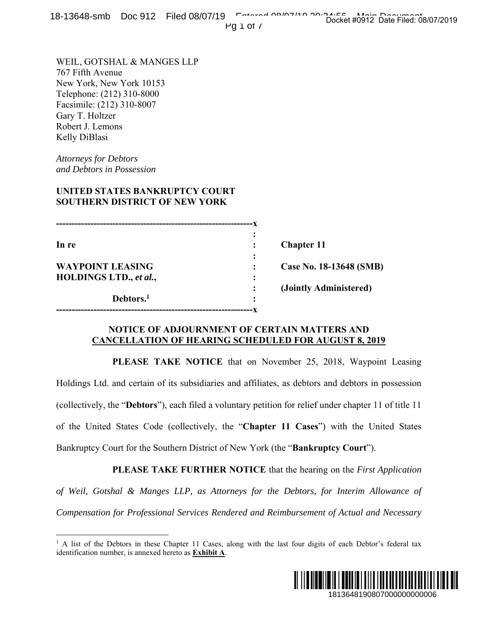18-13648-smb Doc 912 Filed 08/07/19 Entered 08/07/19 Docket #0912 Date Filed: 08/07/2019

Pg 1 of 7

WEIL, GOTSHAL & MANGES LLP 767 Fifth Avenue New York, New York 10153 Telephone: (212) 310-8000 Facsimile: (212) 310-8007 Gary T. Holtzer Robert J. Lemons Kelly DiBlasi

*Attorneys for Debtors and Debtors in Possession* 

 $\overline{a}$ 

## **UNITED STATES BANKRUPTCY COURT SOUTHERN DISTRICT OF NEW YORK**

**---------------------------------------------------------------x**   $\mathbf{r} = \mathbf{r} \cdot \mathbf{r}$  :  $\mathbf{r} = \mathbf{r} \cdot \mathbf{r}$  ,  $\mathbf{r} = \mathbf{r} \cdot \mathbf{r}$  ,  $\mathbf{r} = \mathbf{r} \cdot \mathbf{r}$  ,  $\mathbf{r} = \mathbf{r} \cdot \mathbf{r}$  ,  $\mathbf{r} = \mathbf{r} \cdot \mathbf{r}$  ,  $\mathbf{r} = \mathbf{r} \cdot \mathbf{r}$  ,  $\mathbf{r} = \mathbf{r} \cdot \mathbf{r}$  ,  $\mathbf{r} = \mathbf{r$ **In re** : **Chapter 11** *x*  $\mathbf{r}$   $\mathbf{r}$   $\mathbf{r}$   $\mathbf{r}$   $\mathbf{r}$   $\mathbf{r}$   $\mathbf{r}$   $\mathbf{r}$   $\mathbf{r}$   $\mathbf{r}$   $\mathbf{r}$   $\mathbf{r}$   $\mathbf{r}$   $\mathbf{r}$   $\mathbf{r}$   $\mathbf{r}$   $\mathbf{r}$   $\mathbf{r}$   $\mathbf{r}$   $\mathbf{r}$   $\mathbf{r}$   $\mathbf{r}$   $\mathbf{r}$   $\mathbf{r}$  **WAYPOINT LEASING : Case No. 18-13648 (SMB) HOLDINGS LTD.,** *et al.***, : (Jointly Administered) Debtors.1**  *:*   $\frac{1}{2}$  **:**  $\frac{1}{2}$  **:**  $\frac{1}{2}$  **:**  $\frac{1}{2}$  **:**  $\frac{1}{2}$  **:**  $\frac{1}{2}$  **:**  $\frac{1}{2}$  **:**  $\frac{1}{2}$  **:**  $\frac{1}{2}$  **:**  $\frac{1}{2}$  **:**  $\frac{1}{2}$  **:**  $\frac{1}{2}$  **:**  $\frac{1}{2}$  **:**  $\frac{1}{2}$  **:**  $\frac{1}{2}$  **:**  $\frac{$ **---------------------------------------------------------------x** 

### **NOTICE OF ADJOURNMENT OF CERTAIN MATTERS AND CANCELLATION OF HEARING SCHEDULED FOR AUGUST 8, 2019**

 **PLEASE TAKE NOTICE** that on November 25, 2018, Waypoint Leasing Holdings Ltd. and certain of its subsidiaries and affiliates, as debtors and debtors in possession (collectively, the "**Debtors**"), each filed a voluntary petition for relief under chapter 11 of title 11 of the United States Code (collectively, the "**Chapter 11 Cases**") with the United States Bankruptcy Court for the Southern District of New York (the "**Bankruptcy Court**"). 1813648190807000000000006 Docket #0912 Date Filed: 08/07/2019

 **PLEASE TAKE FURTHER NOTICE** that the hearing on the *First Application of Weil, Gotshal & Manges LLP, as Attorneys for the Debtors, for Interim Allowance of Compensation for Professional Services Rendered and Reimbursement of Actual and Necessary* 

<sup>&</sup>lt;sup>1</sup> A list of the Debtors in these Chapter 11 Cases, along with the last four digits of each Debtor's federal tax identification number, is annexed hereto as **Exhibit A**.

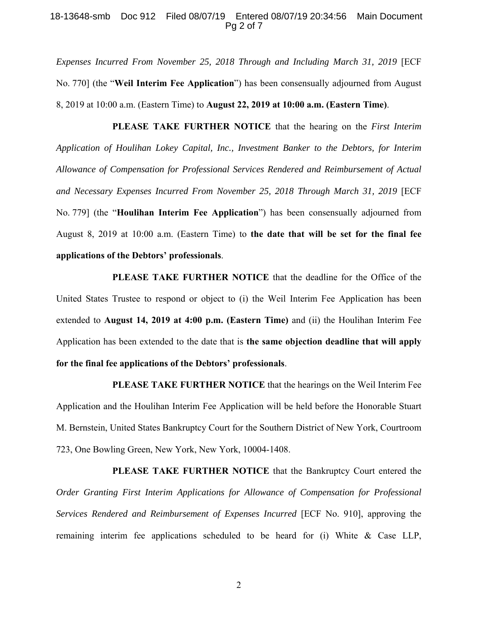#### 18-13648-smb Doc 912 Filed 08/07/19 Entered 08/07/19 20:34:56 Main Document Pg 2 of 7

*Expenses Incurred From November 25, 2018 Through and Including March 31, 2019* [ECF No. 770] (the "**Weil Interim Fee Application**") has been consensually adjourned from August 8, 2019 at 10:00 a.m. (Eastern Time) to **August 22, 2019 at 10:00 a.m. (Eastern Time)**.

 **PLEASE TAKE FURTHER NOTICE** that the hearing on the *First Interim Application of Houlihan Lokey Capital, Inc., Investment Banker to the Debtors, for Interim Allowance of Compensation for Professional Services Rendered and Reimbursement of Actual and Necessary Expenses Incurred From November 25, 2018 Through March 31, 2019* [ECF No. 779] (the "**Houlihan Interim Fee Application**") has been consensually adjourned from August 8, 2019 at 10:00 a.m. (Eastern Time) to **the date that will be set for the final fee applications of the Debtors' professionals**.

**PLEASE TAKE FURTHER NOTICE** that the deadline for the Office of the United States Trustee to respond or object to (i) the Weil Interim Fee Application has been extended to **August 14, 2019 at 4:00 p.m. (Eastern Time)** and (ii) the Houlihan Interim Fee Application has been extended to the date that is **the same objection deadline that will apply for the final fee applications of the Debtors' professionals**.

**PLEASE TAKE FURTHER NOTICE** that the hearings on the Weil Interim Fee Application and the Houlihan Interim Fee Application will be held before the Honorable Stuart M. Bernstein, United States Bankruptcy Court for the Southern District of New York, Courtroom 723, One Bowling Green, New York, New York, 10004-1408.

PLEASE TAKE FURTHER NOTICE that the Bankruptcy Court entered the *Order Granting First Interim Applications for Allowance of Compensation for Professional Services Rendered and Reimbursement of Expenses Incurred* [ECF No. 910], approving the remaining interim fee applications scheduled to be heard for (i) White & Case LLP,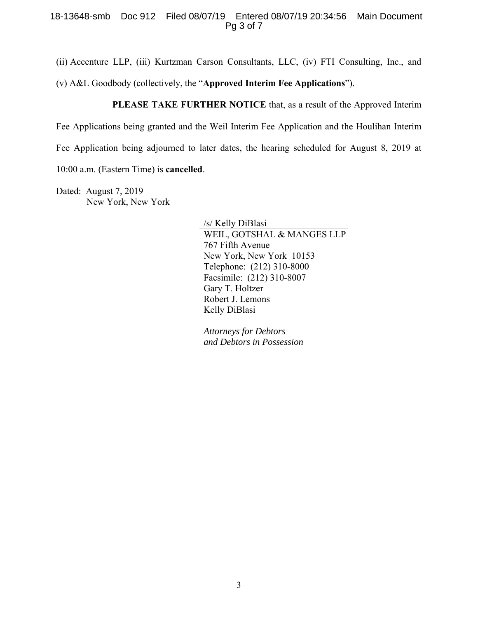#### 18-13648-smb Doc 912 Filed 08/07/19 Entered 08/07/19 20:34:56 Main Document Pg 3 of 7

(ii) Accenture LLP, (iii) Kurtzman Carson Consultants, LLC, (iv) FTI Consulting, Inc., and

(v) A&L Goodbody (collectively, the "**Approved Interim Fee Applications**").

**PLEASE TAKE FURTHER NOTICE** that, as a result of the Approved Interim

Fee Applications being granted and the Weil Interim Fee Application and the Houlihan Interim

Fee Application being adjourned to later dates, the hearing scheduled for August 8, 2019 at

10:00 a.m. (Eastern Time) is **cancelled**.

Dated: August 7, 2019 New York, New York

> /s/ Kelly DiBlasi WEIL, GOTSHAL & MANGES LLP 767 Fifth Avenue New York, New York 10153 Telephone: (212) 310-8000 Facsimile: (212) 310-8007 Gary T. Holtzer Robert J. Lemons Kelly DiBlasi

*Attorneys for Debtors and Debtors in Possession*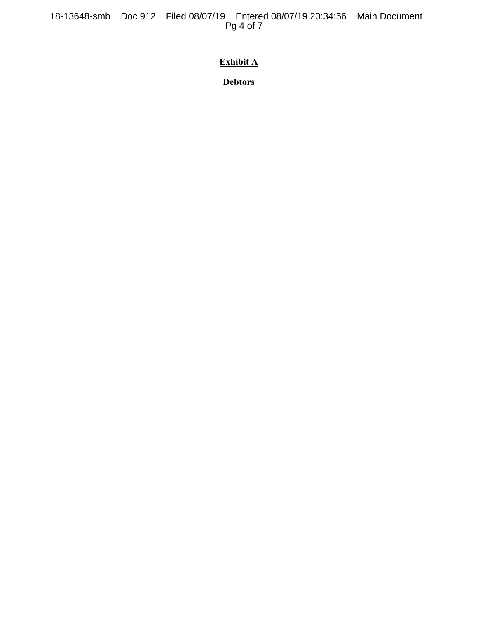18-13648-smb Doc 912 Filed 08/07/19 Entered 08/07/19 20:34:56 Main Document Pg 4 of 7

# **Exhibit A**

**Debtors**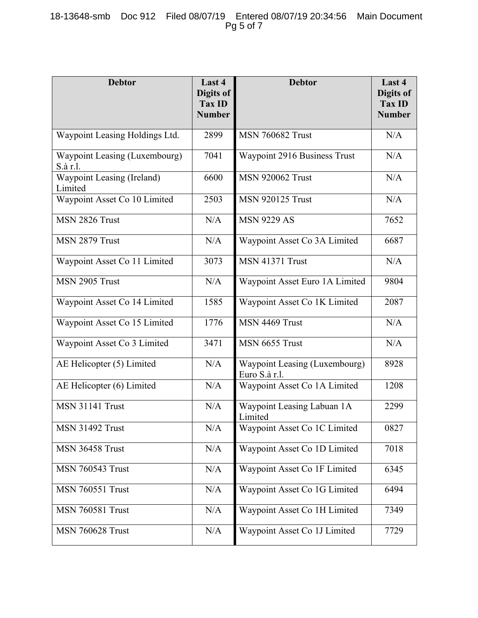| <b>Debtor</b>                             | Last 4<br>Digits of<br><b>Tax ID</b><br><b>Number</b> | <b>Debtor</b>                                  | Last 4<br>Digits of<br><b>Tax ID</b><br><b>Number</b> |
|-------------------------------------------|-------------------------------------------------------|------------------------------------------------|-------------------------------------------------------|
| Waypoint Leasing Holdings Ltd.            | 2899                                                  | <b>MSN 760682 Trust</b>                        | N/A                                                   |
| Waypoint Leasing (Luxembourg)<br>S.à r.l. | 7041                                                  | Waypoint 2916 Business Trust                   | N/A                                                   |
| Waypoint Leasing (Ireland)<br>Limited     | 6600                                                  | <b>MSN 920062 Trust</b>                        | N/A                                                   |
| Waypoint Asset Co 10 Limited              | 2503                                                  | <b>MSN 920125 Trust</b>                        | N/A                                                   |
| MSN 2826 Trust                            | N/A                                                   | <b>MSN 9229 AS</b>                             | 7652                                                  |
| MSN 2879 Trust                            | N/A                                                   | Waypoint Asset Co 3A Limited                   | 6687                                                  |
| Waypoint Asset Co 11 Limited              | 3073                                                  | <b>MSN 41371 Trust</b>                         | N/A                                                   |
| MSN 2905 Trust                            | N/A                                                   | Waypoint Asset Euro 1A Limited                 | 9804                                                  |
| Waypoint Asset Co 14 Limited              | 1585                                                  | Waypoint Asset Co 1K Limited                   | 2087                                                  |
| Waypoint Asset Co 15 Limited              | 1776                                                  | MSN 4469 Trust                                 | N/A                                                   |
| Waypoint Asset Co 3 Limited               | 3471                                                  | MSN 6655 Trust                                 | N/A                                                   |
| AE Helicopter (5) Limited                 | N/A                                                   | Waypoint Leasing (Luxembourg)<br>Euro S.à r.l. | 8928                                                  |
| AE Helicopter (6) Limited                 | N/A                                                   | Waypoint Asset Co 1A Limited                   | 1208                                                  |
| <b>MSN 31141 Trust</b>                    | N/A                                                   | Waypoint Leasing Labuan 1A<br>Limited          | 2299                                                  |
| <b>MSN 31492 Trust</b>                    | N/A                                                   | Waypoint Asset Co 1C Limited                   | 0827                                                  |
| <b>MSN 36458 Trust</b>                    | N/A                                                   | Waypoint Asset Co 1D Limited                   | 7018                                                  |
| <b>MSN 760543 Trust</b>                   | N/A                                                   | Waypoint Asset Co 1F Limited                   | 6345                                                  |
| <b>MSN 760551 Trust</b>                   | N/A                                                   | Waypoint Asset Co 1G Limited                   | 6494                                                  |
| <b>MSN 760581 Trust</b>                   | N/A                                                   | Waypoint Asset Co 1H Limited                   | 7349                                                  |
| <b>MSN 760628 Trust</b>                   | N/A                                                   | Waypoint Asset Co 1J Limited                   | 7729                                                  |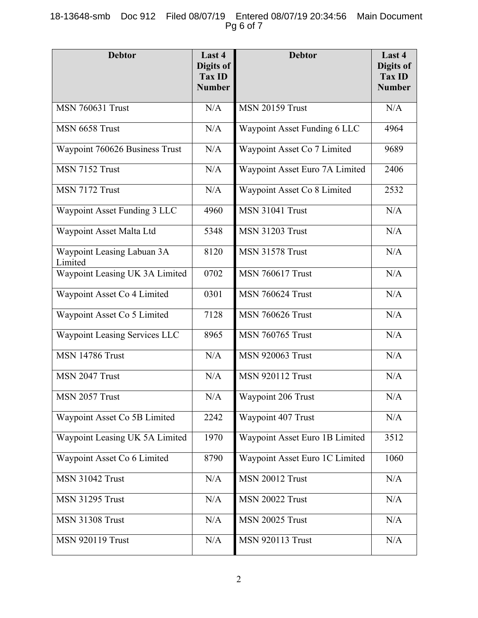## 18-13648-smb Doc 912 Filed 08/07/19 Entered 08/07/19 20:34:56 Main Document Pg 6 of 7

| <b>Debtor</b>                         | Last 4<br>Digits of<br>Tax ID<br><b>Number</b> | <b>Debtor</b>                  | Last 4<br>Digits of<br><b>Tax ID</b><br><b>Number</b> |
|---------------------------------------|------------------------------------------------|--------------------------------|-------------------------------------------------------|
| <b>MSN 760631 Trust</b>               | N/A                                            | <b>MSN 20159 Trust</b>         | N/A                                                   |
| MSN 6658 Trust                        | N/A                                            | Waypoint Asset Funding 6 LLC   | 4964                                                  |
| Waypoint 760626 Business Trust        | N/A                                            | Waypoint Asset Co 7 Limited    | 9689                                                  |
| MSN 7152 Trust                        | N/A                                            | Waypoint Asset Euro 7A Limited | 2406                                                  |
| MSN 7172 Trust                        | N/A                                            | Waypoint Asset Co 8 Limited    | 2532                                                  |
| Waypoint Asset Funding 3 LLC          | 4960                                           | <b>MSN 31041 Trust</b>         | N/A                                                   |
| Waypoint Asset Malta Ltd              | 5348                                           | <b>MSN 31203 Trust</b>         | N/A                                                   |
| Waypoint Leasing Labuan 3A<br>Limited | 8120                                           | <b>MSN 31578 Trust</b>         | N/A                                                   |
| Waypoint Leasing UK 3A Limited        | 0702                                           | <b>MSN 760617 Trust</b>        | N/A                                                   |
| Waypoint Asset Co 4 Limited           | 0301                                           | <b>MSN 760624 Trust</b>        | N/A                                                   |
| Waypoint Asset Co 5 Limited           | 7128                                           | <b>MSN 760626 Trust</b>        | N/A                                                   |
| Waypoint Leasing Services LLC         | 8965                                           | <b>MSN 760765 Trust</b>        | N/A                                                   |
| <b>MSN 14786 Trust</b>                | N/A                                            | <b>MSN 920063 Trust</b>        | N/A                                                   |
| MSN 2047 Trust                        | N/A                                            | <b>MSN 920112 Trust</b>        | N/A                                                   |
| MSN 2057 Trust                        | $\rm N/A$                                      | Waypoint 206 Trust             | $\rm N/A$                                             |
| Waypoint Asset Co 5B Limited          | 2242                                           | Waypoint 407 Trust             | N/A                                                   |
| Waypoint Leasing UK 5A Limited        | 1970                                           | Waypoint Asset Euro 1B Limited | 3512                                                  |
| Waypoint Asset Co 6 Limited           | 8790                                           | Waypoint Asset Euro 1C Limited | 1060                                                  |
| <b>MSN 31042 Trust</b>                | N/A                                            | <b>MSN 20012 Trust</b>         | N/A                                                   |
| <b>MSN 31295 Trust</b>                | N/A                                            | <b>MSN 20022 Trust</b>         | N/A                                                   |
| <b>MSN 31308 Trust</b>                | N/A                                            | <b>MSN 20025 Trust</b>         | N/A                                                   |
| <b>MSN 920119 Trust</b>               | N/A                                            | <b>MSN 920113 Trust</b>        | N/A                                                   |